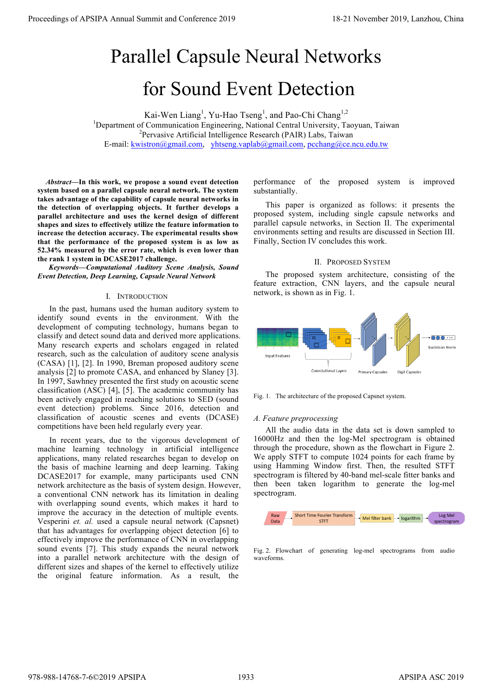# Parallel Capsule Neural Networks for Sound Event Detection

Kai-Wen Liang<sup>1</sup>, Yu-Hao Tseng<sup>1</sup>, and Pao-Chi Chang<sup>1,2</sup> <sup>1</sup>Department of Communication Engineering, National Central University, Taoyuan, Taiwan  $P^2$ Pervasive Artificial Intelligence Research (PAIR) Labs, Taiwan E-mail: kwistron@gmail.com, yhtseng.vaplab@gmail.com, pcchang@ce.ncu.edu.tw

*Abstract***—In this work, we propose a sound event detection system based on a parallel capsule neural network. The system takes advantage of the capability of capsule neural networks in the detection of overlapping objects. It further develops a parallel architecture and uses the kernel design of different shapes and sizes to effectively utilize the feature information to increase the detection accuracy. The experimental results show that the performance of the proposed system is as low as 52.34% measured by the error rate, which is even lower than the rank 1 system in DCASE2017 challenge.**

*Keywords—Computational Auditory Scene Analysis, Sound Event Detection, Deep Learning, Capsule Neural Network*

## I. INTRODUCTION

In the past, humans used the human auditory system to identify sound events in the environment. With the development of computing technology, humans began to classify and detect sound data and derived more applications. Many research experts and scholars engaged in related research, such as the calculation of auditory scene analysis (CASA) [1], [2]. In 1990, Breman proposed auditory scene analysis [2] to promote CASA, and enhanced by Slaney [3]. In 1997, Sawhney presented the first study on acoustic scene classification (ASC) [4], [5]. The academic community has been actively engaged in reaching solutions to SED (sound event detection) problems. Since 2016, detection and classification of acoustic scenes and events (DCASE) competitions have been held regularly every year.

In recent years, due to the vigorous development of machine learning technology in artificial intelligence applications, many related researches began to develop on the basis of machine learning and deep learning. Taking DCASE2017 for example, many participants used CNN network architecture as the basis of system design. However, a conventional CNN network has its limitation in dealing with overlapping sound events, which makes it hard to improve the accuracy in the detection of multiple events. Vesperini *et. al.* used a capsule neural network (Capsnet) that has advantages for overlapping object detection [6] to effectively improve the performance of CNN in overlapping sound events [7]. This study expands the neural network into a parallel network architecture with the design of different sizes and shapes of the kernel to effectively utilize the original feature information. As a result, the **Proceedings of APSIPA Annual Summit and Conference 2019**<br> **Proceedings of APSIPA Annual Summit and Conference 2019**<br> **Dependent Conference 2019**<br> **Dependent Conference 2019**<br> **Dependent Conference 2019**<br> **Dependent Confe** 

performance of the proposed system is improved substantially.

This paper is organized as follows: it presents the proposed system, including single capsule networks and parallel capsule networks, in Section II. The experimental environments setting and results are discussed in Section III. Finally, Section IV concludes this work.

#### II. PROPOSED SYSTEM

The proposed system architecture, consisting of the feature extraction, CNN layers, and the capsule neural network, is shown as in Fig. 1.



Fig. 1. The architecture of the proposed Capsnet system.

## *A. Feature preprocessing*

All the audio data in the data set is down sampled to 16000Hz and then the log-Mel spectrogram is obtained through the procedure, shown as the flowchart in Figure 2. We apply STFT to compute 1024 points for each frame by using Hamming Window first. Then, the resulted STFT spectrogram is filtered by 40-band mel-scale fitter banks and then been taken logarithm to generate the log-mel spectrogram.



Fig. 2. Flowchart of generating log-mel spectrograms from audio waveforms.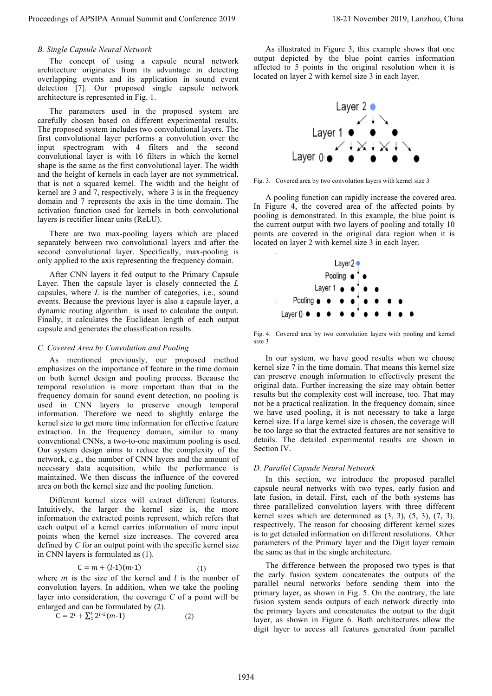#### *B. Single Capsule Neural Network*

The concept of using a capsule neural network architecture originates from its advantage in detecting overlapping events and its application in sound event detection [7]. Our proposed single capsule network architecture is represented in Fig. 1.

The parameters used in the proposed system are carefully chosen based on different experimental results. The proposed system includes two convolutional layers. The first convolutional layer performs a convolution over the input spectrogram with 4 filters and the second convolutional layer is with 16 filters in which the kernel shape is the same as the first convolutional layer. The width and the height of kernels in each layer are not symmetrical, that is not a squared kernel. The width and the height of kernel are 3 and 7, respectively, where 3 is in the frequency domain and 7 represents the axis in the time domain. The activation function used for kernels in both convolutional layers is rectifier linear units (ReLU).

There are two max-pooling layers which are placed separately between two convolutional layers and after the second convolutional layer. Specifically, max-pooling is only applied to the axis representing the frequency domain.

After CNN layers it fed output to the Primary Capsule Layer. Then the capsule layer is closely connected the *L* capsules, where *L* is the number of categories, i.e., sound events. Because the previous layer is also a capsule layer, a dynamic routing algorithm is used to calculate the output. Finally, it calculates the Euclidean length of each output capsule and generates the classification results.

#### *C. Covered Area by Convolution and Pooling*

As mentioned previously, our proposed method emphasizes on the importance of feature in the time domain on both kernel design and pooling process. Because the temporal resolution is more important than that in the frequency domain for sound event detection, no pooling is used in CNN layers to preserve enough temporal information. Therefore we need to slightly enlarge the kernel size to get more time information for effective feature extraction. In the frequency domain, similar to many conventional CNNs, a two-to-one maximum pooling is used. Our system design aims to reduce the complexity of the network, e.g., the number of CNN layers and the amount of necessary data acquisition, while the performance is maintained. We then discuss the influence of the covered area on both the kernel size and the pooling function. Proceeding of APSIPA Annual Summit and Conference 2019<br>
At Benezzal the Conference 2019, Lanzhou, China 2019, Lanzhou, China 2019, Lanzhou, China 2019, Lanzhou, China 2019, Lanzhou, China 2019, Lanzhou, China 2019, Lanzho

Different kernel sizes will extract different features. Intuitively, the larger the kernel size is, the more information the extracted points represent, which refers that each output of a kernel carries information of more input points when the kernel size increases. The covered area defined by *C* for an output point with the specific kernel size in CNN layers is formulated as (1).

$$
C = m + (l-1)(m-1)
$$
 (1)

where  $m$  is the size of the kernel and  $l$  is the number of convolution layers. In addition, when we take the pooling layer into consideration, the coverage *C* of a point will be enlarged and can be formulated by (2).

$$
C = 2l + \sum_{1}^{l} 2l-1 (m-1)
$$
 (2)

As illustrated in Figure 3, this example shows that one output depicted by the blue point carries information affected to 5 points in the original resolution when it is located on layer 2 with kernel size 3 in each layer.



Fig. 3. Covered area by two convolution layers with kernel size 3

A pooling function can rapidly increase the covered area. In Figure 4, the covered area of the affected points by pooling is demonstrated. In this example, the blue point is the current output with two layers of pooling and totally 10 points are covered in the original data region when it is located on layer 2 with kernel size 3 in each layer.



Fig. 4. Covered area by two convolution layers with pooling and kernel size 3

In our system, we have good results when we choose kernel size 7 in the time domain. That means this kernel size can preserve enough information to effectively present the original data. Further increasing the size may obtain better results but the complexity cost will increase, too. That may not be a practical realization. In the frequency domain, since we have used pooling, it is not necessary to take a large kernel size. If a large kernel size is chosen, the coverage will be too large so that the extracted features are not sensitive to details. The detailed experimental results are shown in Section IV.

#### *D. Parallel Capsule Neural Network*

In this section, we introduce the proposed parallel capsule neural networks with two types, early fusion and late fusion, in detail. First, each of the both systems has three parallelized convolution layers with three different kernel sizes which are determined as  $(3, 3)$ ,  $(5, 3)$ ,  $(7, 3)$ , respectively. The reason for choosing different kernel sizes is to get detailed information on different resolutions. Other parameters of the Primary layer and the Digit layer remain the same as that in the single architecture.

The difference between the proposed two types is that the early fusion system concatenates the outputs of the parallel neural networks before sending them into the primary layer, as shown in Fig. 5. On the contrary, the late fusion system sends outputs of each network directly into the primary layers and concatenates the output to the digit layer, as shown in Figure 6. Both architectures allow the digit layer to access all features generated from parallel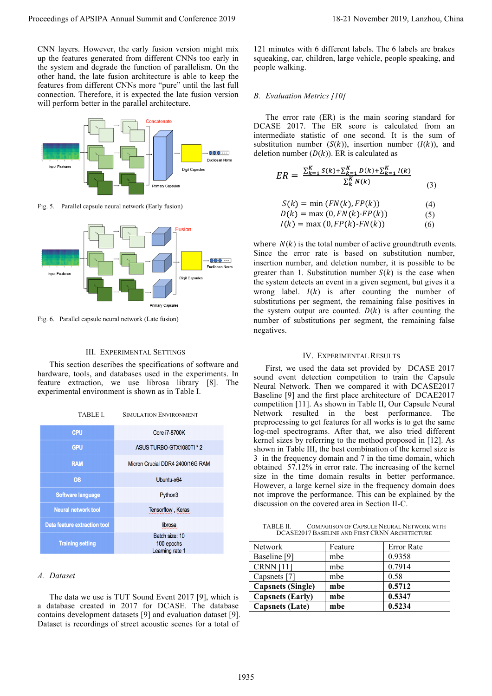CNN layers. However, the early fusion version might mix up the features generated from different CNNs too early in the system and degrade the function of parallelism. On the other hand, the late fusion architecture is able to keep the features from different CNNs more "pure" until the last full connection. Therefore, it is expected the late fusion version will perform better in the parallel architecture.



Fig. 5. Parallel capsule neural network (Early fusion)



Fig. 6. Parallel capsule neural network (Late fusion)

#### III. EXPERIMENTAL SETTINGS

This section describes the specifications of software and hardware, tools, and databases used in the experiments. In feature extraction, we use librosa library [8]. The experimental environment is shown as in Table I.

| <b>TABLE L</b> | <b>SIMULATION ENVIRONMENT</b> |
|----------------|-------------------------------|
|                |                               |

| <b>CPU</b>                          | <b>Core i7-8700K</b>                            |
|-------------------------------------|-------------------------------------------------|
| <b>GPU</b>                          | ASUS TURBO-GTX1080TI * 2                        |
| <b>RAM</b>                          | Micron Crucial DDR4 2400/16G RAM                |
| <b>OS</b>                           | Ubuntu-x64                                      |
| <b>Software language</b>            | Python3                                         |
| <b>Neural network tool</b>          | Tensorflow, Keras                               |
| <b>Data feature extraction tool</b> | librosa                                         |
| <b>Training setting</b>             | Batch size: 10<br>100 epochs<br>Learning rate 1 |

### *A. Dataset*

The data we use is TUT Sound Event 2017 [9], which is a database created in 2017 for DCASE. The database contains development datasets [9] and evaluation dataset [9]. Dataset is recordings of street acoustic scenes for a total of

121 minutes with 6 different labels. The 6 labels are brakes squeaking, car, children, large vehicle, people speaking, and people walking.

## *B. Evaluation Metrics [10]*

The error rate (ER) is the main scoring standard for DCASE 2017. The ER score is calculated from an intermediate statistic of one second. It is the sum of substitution number  $(S(k))$ , insertion number  $(I(k))$ , and deletion number  $(D(k))$ . ER is calculated as

$$
ER = \frac{\sum_{k=1}^{K} S(k) + \sum_{k=1}^{K} D(k) + \sum_{k=1}^{K} I(k)}{\sum_{k}^{K} N(k)}
$$
(3)

$$
S(k) = \min\left(FN(k), FP(k)\right) \tag{4}
$$

$$
D(k) = \max(0, FN(k) \cdot FP(k))
$$
 (5)

$$
I(k) = \max(0, FP(k) \cdot FN(k)) \tag{6}
$$

where  $N(k)$  is the total number of active groundtruth events. Since the error rate is based on substitution number, insertion number, and deletion number, it is possible to be greater than 1. Substitution number  $S(k)$  is the case when the system detects an event in a given segment, but gives it a wrong label.  $I(k)$  is after counting the number of substitutions per segment, the remaining false positives in the system output are counted.  $D(k)$  is after counting the number of substitutions per segment, the remaining false negatives.

#### IV. EXPERIMENTAL RESULTS

First, we used the data set provided by DCASE 2017 sound event detection competition to train the Capsule Neural Network. Then we compared it with DCASE2017 Baseline [9] and the first place architecture of DCAE2017 competition [11]. As shown in Table II, Our Capsule Neural Network resulted in the best performance. The preprocessing to get features for all works is to get the same log-mel spectrograms. After that, we also tried different kernel sizes by referring to the method proposed in [12]. As shown in Table III, the best combination of the kernel size is 3 in the frequency domain and 7 in the time domain, which obtained 57.12% in error rate. The increasing of the kernel size in the time domain results in better performance. However, a large kernel size in the frequency domain does not improve the performance. This can be explained by the discussion on the covered area in Section II-C. Proceeding the New York 2011 and 2018 and 2019 in the state of the New York 2019 in the New York 2019 and 2019 in the New York 2019 and 2019 and 2019 and 2019 and 2019 and 2019 and 2019 and 2019 and 2019 and 2019 and 2019

TABLE II. COMPARISON OF CAPSULE NEURAL NETWORK WITH DCASE2017 BASELINE AND FIRST CRNN ARCHITECTURE

| <b>Network</b>           | Feature | Error Rate |
|--------------------------|---------|------------|
| Baseline [9]             | mbe     | 0.9358     |
| <b>CRNN</b> [11]         | mbe     | 0.7914     |
| Capsnets [7]             | mbe     | 0.58       |
| <b>Capsnets</b> (Single) | mbe     | 0.5712     |
| <b>Capsnets (Early)</b>  | mbe     | 0.5347     |
| <b>Capsnets</b> (Late)   | mbe     | 0.5234     |